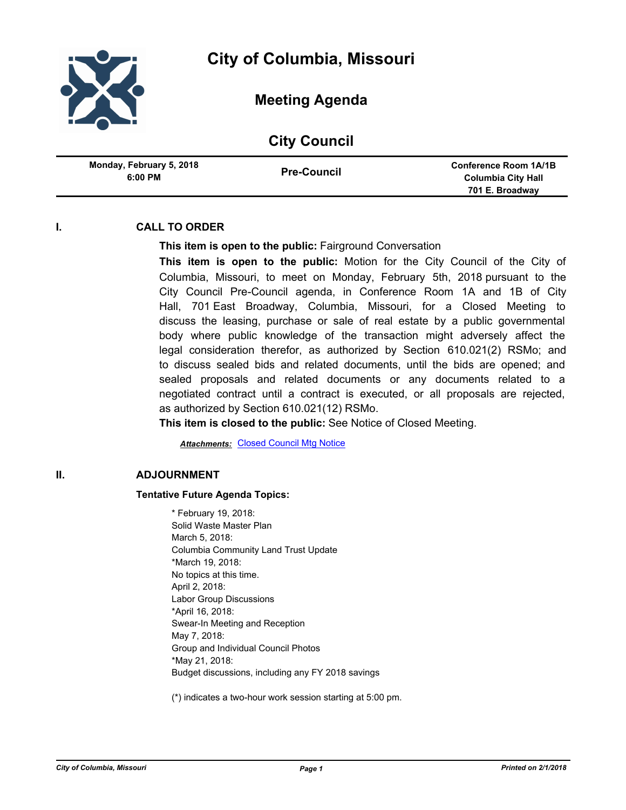

# **Meeting Agenda**

## **City Council**

| Monday, February 5, 2018 | <b>Conference Room 1A/1B</b> |
|--------------------------|------------------------------|
| <b>Pre-Council</b>       | Columbia City Hall           |
| $6:00$ PM                | 701 E. Broadway              |

### **I. CALL TO ORDER**

#### **This item is open to the public:** Fairground Conversation

**This item is open to the public:** Motion for the City Council of the City of Columbia, Missouri, to meet on Monday, February 5th, 2018 pursuant to the City Council Pre-Council agenda, in Conference Room 1A and 1B of City Hall, 701 East Broadway, Columbia, Missouri, for a Closed Meeting to discuss the leasing, purchase or sale of real estate by a public governmental body where public knowledge of the transaction might adversely affect the legal consideration therefor, as authorized by Section 610.021(2) RSMo; and to discuss sealed bids and related documents, until the bids are opened; and sealed proposals and related documents or any documents related to a negotiated contract until a contract is executed, or all proposals are rejected, as authorized by Section 610.021(12) RSMo.

**This item is closed to the public:** See Notice of Closed Meeting.

**Attachments: [Closed Council Mtg Notice](http://gocolumbiamo.legistar.com/gateway.aspx?M=F&ID=fa649050-5545-4e00-ac6e-f463c6a22d27.pdf)** 

#### **II. ADJOURNMENT**

#### **Tentative Future Agenda Topics:**

\* February 19, 2018: Solid Waste Master Plan March 5, 2018: Columbia Community Land Trust Update \*March 19, 2018: No topics at this time. April 2, 2018: Labor Group Discussions \*April 16, 2018: Swear-In Meeting and Reception May 7, 2018: Group and Individual Council Photos \*May 21, 2018: Budget discussions, including any FY 2018 savings

(\*) indicates a two-hour work session starting at 5:00 pm.